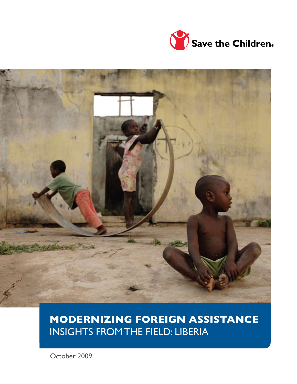



# **MODERNIZING FOREIGN ASSISTANCE** INSIGHTS FROM THE FIELD: LIBERIA

October 2009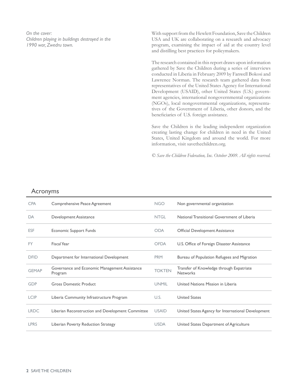*On the cover: Children playing in buildings destroyed in the 1990 war, Zwedru town.*

With support from the Hewlett Foundation, Save the Children USA and UK are collaborating on a research and advocacy program, examining the impact of aid at the country level and distilling best practices for policymakers.

The research contained in this report draws upon information gathered by Save the Children during a series of interviews conducted in Liberia in February 2009 by Fanwell Bokosi and Lawrence Norman. The research team gathered data from representatives of the United States Agency for International Development (USAID), other United States (U.S.) government agencies, international nongovernmental organizations (NGOs), local nongovernmental organizations, representatives of the Government of Liberia, other donors, and the beneficiaries of U.S. foreign assistance.

Save the Children is the leading independent organization creating lasting change for children in need in the United States, United Kingdom and around the world. For more information, visit savethechildren.org.

*© Save the Children Federation, Inc. October 2009. All rights reserved.*

#### Acronyms

| <b>CPA</b>   | Comprehensive Peace Agreement                            | <b>NGO</b>    | Non governmental organization                               |
|--------------|----------------------------------------------------------|---------------|-------------------------------------------------------------|
| DA           | Development Assistance                                   | <b>NTGL</b>   | National Transitional Government of Liberia                 |
| <b>ESF</b>   | <b>Economic Support Funds</b>                            | <b>ODA</b>    | Official Development Assistance                             |
| FY           | <b>Fiscal Year</b>                                       | <b>OFDA</b>   | U.S. Office of Foreign Disaster Assistance                  |
| <b>DFID</b>  | Department for International Development                 | <b>PRM</b>    | Bureau of Population Refugees and Migration                 |
| <b>GEMAP</b> | Governance and Economic Management Assistance<br>Program | <b>TOKTEN</b> | Transfer of Knowledge through Expatriate<br><b>Networks</b> |
| <b>GDP</b>   | <b>Gross Domestic Product</b>                            | <b>UNMIL</b>  | United Nations Mission in Liberia                           |
| <b>LCIP</b>  | Liberia Community Infrastructure Program                 | U.S.          | <b>United States</b>                                        |
| <b>LRDC</b>  | Liberian Reconstruction and Development Committee        | <b>USAID</b>  | United States Agency for International Development          |
| <b>LPRS</b>  | Liberian Poverty Reduction Strategy                      | <b>USDA</b>   | United States Department of Agriculture                     |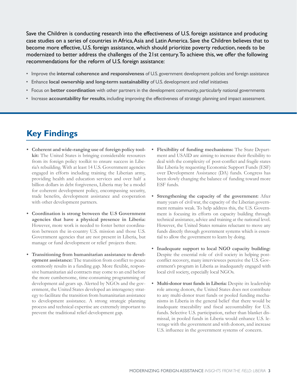Save the Children is conducting research into the effectiveness of U.S. foreign assistance and producing case studies on a series of countries in Africa, Asia and Latin America. Save the Children believes that to become more effective, U.S. foreign assistance, which should prioritize poverty reduction, needs to be modernized to better address the challenges of the 21st century. To achieve this, we offer the following recommendations for the reform of U.S. foreign assistance:

- Improve the **internal coherence and responsiveness** of U.S. government development policies and foreign assistance
- Enhance **local ownership and long-term sustainability** of U.S. development and relief initiatives
- Focus on **better coordination** with other partners in the development community, particularly national governments
- Increase **accountability for results**, including improving the effectiveness of strategic planning and impact assessment.

# **Key Findings**

- **• Coherent and wide-ranging use of foreign policy toolkit:** The United States is bringing considerable resources from its foreign policy toolkit to ensure success in Liberia's rebuilding. With at least 14 U.S. Government agencies engaged in efforts including training the Liberian army, providing health and education services and over half a billion dollars in debt forgiveness, Liberia may be a model for coherent development policy, encompassing security, trade benefits, development assistance and cooperation with other development partners.
- Coordination is strong between the U.S Government **agencies that have a physical presence in Liberia:**  However, more work is needed to foster better coordination between the in-country U.S. mission and those U.S. Government agencies that are not present in Liberia, but manage or fund development or relief projects there.
- **Transitioning from humanitarian assistance to development assistance:** The transition from conflict to peace commonly results in a funding gap. More flexible, responsive humanitarian aid contracts may come to an end before the more cumbersome, time-consuming programming of development aid gears up. Alerted by NGOs and the government, the United States developed an interagency strategy to facilitate the transition from humanitarian assistance to development assistance. A strong strategic planning process and technical expertise are extremely important to prevent the traditional relief-development gap.
- **• Flexibility of funding mechanisms:** The State Department and USAID are aiming to increase their flexibility to deal with the complexity of post-conflict and fragile states like Liberia by requesting Economic Support Funds (ESF) over Development Assistance (DA) funds. Congress has been slowly changing the balance of funding toward more ESF funds.
- **Strengthening the capacity of the government:** After many years of civil war, the capacity of the Liberian government remains weak. To help address this, the U.S. Government is focusing its efforts on capacity building through technical assistance, advice and training at the national level. However, the United States remains reluctant to move any funds directly through government systems which is essential to allow the government to learn by doing.
- **• Inadequate support to local NGO capacity building:**  Despite the essential role of civil society in helping postconflict recovery, many interviewees perceive the U.S. Government's program in Liberia as inadequately engaged with local civil society, especially local NGOs.
- **Multi-donor trust funds in Liberia:** Despite its leadership role among donors, the United States does not contribute to any multi-donor trust funds or pooled funding mechanisms in Liberia in the general belief that there would be inadequate traceability and fiscal accountability for U.S. funds. Selective U.S. participation, rather than blanket dismissal, in pooled funds in Liberia would enhance U.S. leverage with the government and with donors, and increase U.S. influence in the government systems of concern.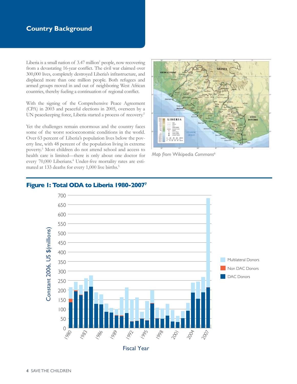## **Country Background**

Liberia is a small nation of 3.47 million<sup>1</sup> people, now recovering from a devastating 16-year conflict. The civil war claimed over 300,000 lives, completely destroyed Liberia's infrastructure, and displaced more than one million people. Both refugees and armed groups moved in and out of neighboring West African countries, thereby fueling a continuation of regional conflict.

With the signing of the Comprehensive Peace Agreement (CPA) in 2003 and peaceful elections in 2005, overseen by a UN peacekeeping force, Liberia started a process of recovery.<sup>2</sup>

Yet the challenges remain enormous and the country faces some of the worst socioeconomic conditions in the world. Over 63 percent of Liberia's population lives below the poverty line, with 48 percent of the population living in extreme poverty.3 Most children do not attend school and access to health care is limited—there is only about one doctor for every 70,000 Liberians.<sup>4</sup> Under-five mortality rates are estimated at 133 deaths for every 1,000 live births.<sup>5</sup>



*Map from* Wikipedia *Commons6*



## **Figure 1: Total ODA to Liberia 1980-20077**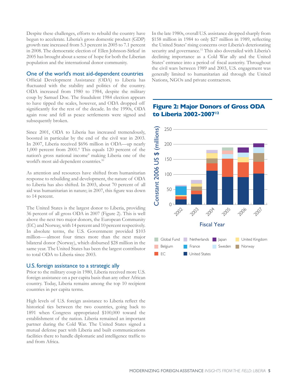Despite these challenges, efforts to rebuild the country have begun to accelerate. Liberia's gross domestic product (GDP) growth rate increased from 5.3 percent in 2005 to 7.1 percent in 2008. The democratic election of Ellen Johnson-Sirleaf in 2005 has brought about a sense of hope for both the Liberian population and the international donor community.

#### One of the world's most aid-dependent countries

Official Development Assistance (ODA) to Liberia has fluctuated with the stability and politics of the country. ODA increased from 1980 to 1984, despite the military coup by Samuel Doe. The fraudulent 1984 election appears to have tipped the scales, however, and ODA dropped off significantly for the rest of the decade. In the 1990s, ODA again rose and fell as peace settlements were signed and subsequently broken.

Since 2001, ODA to Liberia has increased tremendously, boosted in particular by the end of the civil war in 2003. In 2007, Liberia received \$696 million in ODA—up nearly 1,000 percent from 2001.8 This equals 120 percent of the nation's gross national income<sup>9</sup> making Liberia one of the world's most aid-dependent countries.<sup>10</sup>

As attention and resources have shifted from humanitarian response to rebuilding and development, the nature of ODA to Liberia has also shifted. In 2003, about 70 percent of all aid was humanitarian in nature; in 2007, this figure was down to 14 percent.

The United States is the largest donor to Liberia, providing 36 percent of all gross ODA in 2007 (Figure 2). This is well above the next two major donors, the European Community (EC) and Norway, with 14 percent and 10 percent respectively. In absolute terms, the U.S. Government provided \$103 million—-almost four times more than the next major bilateral donor (Norway), which disbursed \$28 million in the same year. The United States has been the largest contributor to total ODA to Liberia since 2003.

#### U.S. foreign assistance to a strategic ally

Prior to the military coup in 1980, Liberia received more U.S. foreign assistance on a per capita basis than any other African country. Today, Liberia remains among the top 10 recipient countries in per capita terms.

High levels of U.S. foreign assistance to Liberia reflect the historical ties between the two countries, going back to 1891 when Congress appropriated \$100,000 toward the establishment of the nation. Liberia remained an important partner during the Cold War. The United States signed a mutual defense pact with Liberia and built communications facilities there to handle diplomatic and intelligence traffic to and from Africa.

In the late 1980s, overall U.S. assistance dropped sharply from \$158 million in 1984 to only \$27 million in 1989, reflecting the United States' rising concerns over Liberia's deteriorating security and governance.<sup>11</sup> This also dovetailed with Liberia's declining importance as a Cold War ally and the United States' entrance into a period of fiscal austerity. Throughout the civil wars between 1989 and 2003, U.S. engagement was generally limited to humanitarian aid through the United Nations, NGOs and private contractors.

#### Constant 2006 US \$ (millions) Constant 2006 US \$ (millions) 250 200 150 100 50  $\cap$ **2004** 2005 2006 2003 201 2021 Fiscal Year Global Fund **Netherlands Japan United Kingdom** Belgium France **Sweden Norway**  $\mathcal{L}^{\mathcal{L}}$ EC **Inited States**

## **Figure 2: Major Donors of Gross ODA to Liberia 2002-200712**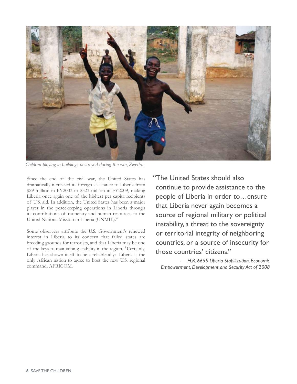

*Children playing in buildings destroyed during the war, Zwedru.*

Since the end of the civil war, the United States has dramatically increased its foreign assistance to Liberia from \$29 million in FY2003 to \$323 million in FY2009, making Liberia once again one of the highest per capita recipients of U.S. aid. In addition, the United States has been a major player in the peacekeeping operations in Liberia through its contributions of monetary and human resources to the United Nations Mission in Liberia (UNMIL)."

Some observers attribute the U.S. Government's renewed interest in Liberia to its concern that failed states are breeding grounds for terrorists, and that Liberia may be one of the keys to maintaining stability in the region.13 Certainly, Liberia has shown itself to be a reliable ally: Liberia is the only African nation to agree to host the new U.S. regional command, AFRICOM.

"The United States should also continue to provide assistance to the people of Liberia in order to…ensure that Liberia never again becomes a source of regional military or political instability, a threat to the sovereignty or territorial integrity of neighboring countries, or a source of insecurity for those countries' citizens."

*— H.R. 6655 Liberia Stabilization, Economic Empowerment, Development and Security Act of 2008*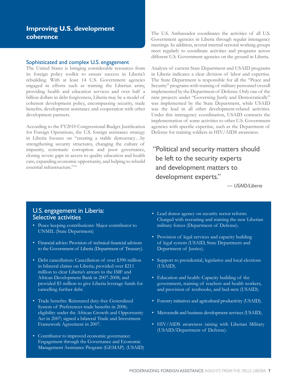## **Improving U.S. development coherence**

#### Sophisticated and complex U.S. engagement

The United States is bringing considerable resources from its foreign policy toolkit to ensure success in Liberia's rebuilding. With at least 14 U.S. Government agencies engaged in efforts such as training the Liberian army, providing health and education services and over half a billion dollars in debt forgiveness, Liberia may be a model of coherent development policy, encompassing security, trade benefits, development assistance and cooperation with other development partners.

According to the FY2010 Congressional Budget Justification for Foreign Operations, the U.S. foreign assistance strategy in Liberia focuses on "creating a stable democracy…by strengthening security structures, changing the culture of impunity, systematic corruption and poor governance, closing severe gaps in access to quality education and health care, expanding economic opportunity, and helping to rebuild essential infrastructure."14

The U.S. Ambassador coordinates the activities of all U.S. Government agencies in Liberia through regular interagency meetings. In addition, several internal sectoral working groups meet regularly to coordinate activities and programs across different U.S. Government agencies on the ground in Liberia.

Analysis of current State Department and USAID programs in Liberia indicates a clear division of labor and expertise. The State Department is responsible for all the "Peace and Security" programs with training of military personnel overall implemented by the Department of Defense. Only one of the nine projects under "Governing Justly and Democratically" was implemented by the State Department, while USAID was the lead in all other development-related activities. Under this interagency coordination, USAID contracts the implementation of some activities to other U.S. Government agencies with specific expertise, such as the Department of Defense for training soldiers in HIV/AIDS awareness.

"Political and security matters should be left to the security experts and development matters to development experts."

*— USAID/Liberia*

## U.S. engagement in Liberia: Selective activities

- Peace keeping contributions: Major contributor to UNMIL (State Department)
- Financial advice: Provision of technical financial advisors to the Government of Liberia (Department of Treasury).
- Debt cancellation: Cancellation of over \$390 million in bilateral claims on Liberia; provided over \$211 million to clear Liberia's arrears to the IMF and African Development Bank in 2007-2008; and provided \$5 million to give Liberia leverage funds for cancelling further debt.
- Trade benefits: Reinstated duty-free Generalized System of Preferences trade benefits in 2006; eligibility under the African Growth and Opportunity Act in 2007; signed a bilateral Trade and Investment Framework Agreement in 2007.
- Contributor to improved economic governance: Engagement through the Governance and Economic Management Assistance Program (GEMAP). (USAID)
- Lead donor agency on security sector reform: Charged with recruiting and training the new Liberian military forces (Department of Defense).
- Provision of legal services and capacity building of legal system (USAID, State Department and Department of Justice).
- Support to presidential, legislative and local elections (USAID).
- Education and health: Capacity building of the government, training of teachers and health workers, and provision of textbooks, and bed-nets (USAID).
- Forestry initiatives and agricultural productivity (USAID).
- Microcredit and business development services (USAID).
- HIV/AIDS awareness raising with Liberian Military (USAID/Department of Defense).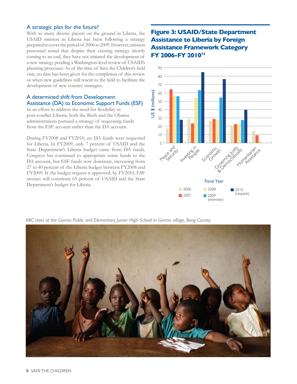#### A strategic plan for the future?

With so many diverse players on the ground in Liberia, the USAID mission in Liberia has been following a strategy prepared to cover the period of 2006 to 2009. However, mission personnel noted that despite their existing strategy shortly coming to an end, they have not initiated the development of a new strategy pending a Washington-level review of USAID's planning processes. As of the time of Save the Children's field visit, no date has been given for the completion of this review or when new guidelines will resent to the field to facilitate the development of new country strategies.

#### A determined shift from Development Assistance (DA) to Economic Support Funds (ESF)

In an effort to address the need for flexibility in post-conflict Liberia, both the Bush and the Obama administrations pursued a strategy of requesting funds from the ESF account rather than the DA account.

During FY2008 and FY2010, no DA funds were requested for Liberia. In FY2009, only 7 percent of USAID and the State Department's Liberia budget came from DA funds. Congress has continued to appropriate some funds to the DA account, but ESF funds now dominate, increasing from 27 to 40 percent of the Liberia budget between FY2008 and FY2009. If the budget request is approved, by FY2010, ESF monies will constitute 65 percent of USAID and the State Department's budget for Liberia.

## **Figure 3: USAID/State Department Assistance to Liberia by Foreign Assistance Framework Category FY 2006-FY 201015**



*ABC class at the Garmu Public and Elementary Junior High School in Garmu village, Bong County.*

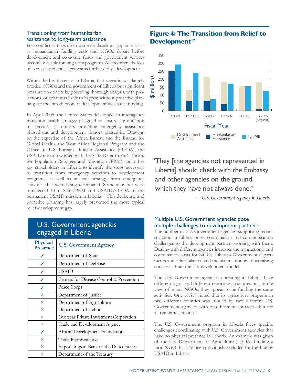#### Transitioning from humanitarian assistance to long-term assistance

Post-conflict settings often witness a disastrous gap in services as humanitarian funding ends and NGOs depart before development and economic funds and government services become available for long-term programs. All too often, the loss of services and critical programs further delays development.

Within the health sector in Liberia, that scenario was largely avoided. NGOs and the government of Liberia put significant pressure on donors by providing thorough analysis, with projections, of what was likely to happen without proactive planning for the introduction of development assistance funding.

In April 2005, the United States developed an interagency transition health strategy designed to ensure continuation of services as donors providing emergency assistance phased-out and development donors phased-in. Drawing on the expertise of the Africa Bureau and the Bureau for Global Health, the West Africa Regional Program and the Office of U.S. Foreign Disaster Assistance (OFDA), the USAID mission worked with the State Department's Bureau for Population Refugees and Migration (PRM) and other key stakeholders in Liberia to identify the steps necessary to transition from emergency activities to development programs, as well as an exit strategy from emergency activities that were being terminated. Some activities were transferred from State/PRM and USAID/OFDA to the permanent USAID mission in Liberia.16 This deliberate and proactive planning has largely prevented the more typical relief-development gap.

## U.S. Government agencies engaged in Liberia

| <b>Physical</b><br><b>Presence</b> | <b>U.S. Government Agency</b>            |
|------------------------------------|------------------------------------------|
|                                    | Department of State                      |
|                                    | Department of Defense                    |
|                                    | USAID                                    |
| J                                  | Centers for Disease Control & Prevention |
|                                    | Peace Corps                              |
| X                                  | Department of Justice                    |
| $\times$                           | Department of Agriculture                |
| $\times$                           | Department of Labor                      |
| X                                  | Overseas Private Investment Corporation  |
| X                                  | Trade and Development Agency             |
| J                                  | African Development Foundation           |
| $\times$                           | Trade Representative                     |
| $\times$                           | Export-Import Bank of the United States  |
| X                                  | Department of the Treasury               |

## **Figure 4: The Transition from Relief to Development<sup>17</sup>**



"They [the agencies not represented in Liberia] should check with the Embassy and other agencies on the ground, which they have not always done."

*— U.S. Government agency in Liberia*

#### Multiple U.S. Government agencies pose multiple challenges to development partners

The number of U.S Government agencies supporting reconstruction in Liberia poses coordination and communication challenges to the development partners working with them. Dealing with different agencies increases the transactional and coordination costs for NGOs, Liberian Government departments and other bilateral and multilateral donors, thus raising concerns about the U.S. development model.

The U.S. Government agencies operating in Liberia have different logos and different reporting structures but, in the view of many NGOs, they appear to be funding the same activities. One NGO noted that its agriculture program in two different counties was funded by two different U.S. Government agencies with two different contacts—but for all the same activities.

The U.S. Government program in Liberia faces specific challenges coordinating with U.S. Government agencies that have no physical presence in Liberia. An example was given of the U.S. Department of Agriculture (USDA) funding a local NGO that had been previously excluded for funding by USAID in Liberia.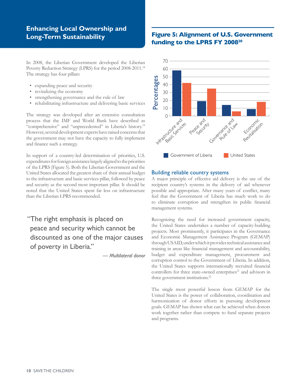# **Enhancing Local Ownership and**

In 2008, the Liberian Government developed the Liberian Poverty Reduction Strategy (LPRS) for the period 2008-2011.18 The strategy has four pillars:

- expanding peace and security
- revitalizing the economy
- strengthening governance and the rule of law
- rehabilitating infrastructure and delivering basic services

The strategy was developed after an extensive consultation process that the IMF and World Bank have described as "comprehensive" and "unprecedented" in Liberia's history.19 However, several development experts have raised concerns that the government may not have the capacity to fully implement and finance such a strategy.

In support of a country-led determination of priorities, U.S. expenditures for foreign assistance largely aligned to the priorities of the LPRS (Figure 5). Both the Liberian Government and the United States allocated the greatest share of their annual budget to the infrastructure and basic services pillar, followed by peace and security as the second most important pillar. It should be noted that the United States spent far less on infrastructure than the Liberian LPRS recommended.

"The right emphasis is placed on peace and security which cannot be discounted as one of the major causes of poverty in Liberia."

*— Multilateral donor*

## **Long-Term Sustainability Figure 5: Alignment of U.S. Government funding to the LPRS FY 200820**



#### Building reliable country systems

A major principle of effective aid delivery is the use of the recipient country's systems in the delivery of aid whenever possible and appropriate. After many years of conflict, many feel that the Government of Liberia has much work to do to eliminate corruption and strengthen its public financial management systems.

Recognizing the need for increased government capacity, the United States undertakes a number of capacity-building projects. Most prominently, it participates in the Governance and Economic Management Assistance Program (GEMAP) through USAID, under which it provides technical assistance and training in areas like financial management and accountability, budget and expenditure management, procurement and corruption control to the Government of Liberia. In addition, the United States supports internationally recruited financial controllers for three state-owned enterprises<sup>21</sup> and advisors in three government institutions.<sup>22</sup>

The single most powerful lesson from GEMAP for the United States is the power of collaboration, coordination and harmonization of donor efforts in pursuing development goals. GEMAP has shown what can be achieved when donors work together rather than compete to fund separate projects and programs.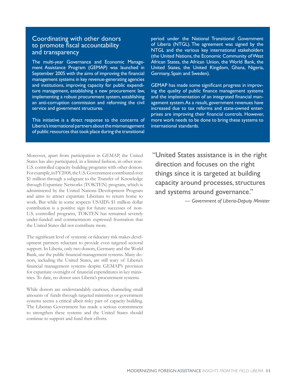## Coordinating with other donors to promote fiscal accountability and transparency

The multi-year Governance and Economic Management Assistance Program (GEMAP) was launched in September 2005 with the aims of improving the financial management systems in key revenue-generating agencies and institutions, improving capacity for public expenditure management, establishing a new procurement law, implementing a robust procurement system, establishing an anti-corruption commission and reforming the civil service and government structures.

This initiative is a direct response to the concerns of Liberia's international partners about the mismanagement of public resources that took place during the transitional

period under the National Transitional Government of Liberia (NTGL). The agreement was signed by the NTGL and the various key international stakeholders (the United Nations, the Economic Community of West African States, the African Union, the World Bank, the United States, the United Kingdom, Ghana, Nigeria, Germany, Spain and Sweden).

GEMAP has made some significant progress in improving the quality of public finance management systems and the implementation of an integrated financial management system. As a result, government revenues have increased due to tax reforms and state-owned enterprises are improving their financial controls. However, more work needs to be done to bring these systems to international standards.

Moreover, apart from participation in GEMAP, the United States has also participated, in a limited fashion, in other non-U.S. controlled capacity-building programs with other donors. For example, in FY2008, the U.S. Government contributed over \$1 million through a subgrant to the Transfer of Knowledge through Expatriate Networks (TOKTEN) program, which is administered by the United Nations Development Program and aims to attract expatriate Liberians to return home to work. But while in some respects USAID's \$1 million dollar contribution is a positive sign for future successes of non-U.S. controlled programs, TOKTEN has remained severely under-funded and commentators expressed frustration that the United States did not contribute more.

The significant level of systemic or fiduciary risk makes development partners reluctant to provide even targeted sectoral support. In Liberia, only two donors, Germany and the World Bank, use the public financial management systems. Many donors, including the United States, are still wary of Liberia's financial management systems despite GEMAP's provision for expatriate oversight of financial expenditures in key ministries. To date, no donor uses Liberia's procurement systems.

While donors are understandably cautious, channeling small amounts of funds through targeted ministries or government systems seems a critical albeit risky part of capacity building. The Liberian Government has made a serious commitment to strengthen these systems and the United States should continue to support and fund their efforts.

"United States assistance is in the right direction and focuses on the right things since it is targeted at building capacity around processes, structures and systems around governance."

*— Government of Liberia-Deputy Minister*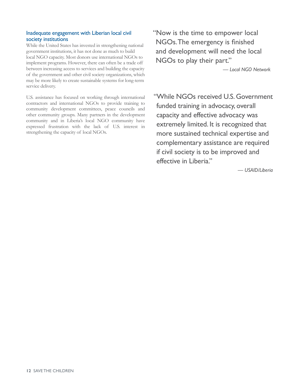#### Inadequate engagement with Liberian local civil society institutions

While the United States has invested in strengthening national government institutions, it has not done as much to build local NGO capacity. Most donors use international NGOs to implement programs. However, there can often be a trade off between increasing access to services and building the capacity of the government and other civil society organizations, which may be more likely to create sustainable systems for long-term service delivery.

U.S. assistance has focused on working through international contractors and international NGOs to provide training to community development committees, peace councils and other community groups. Many partners in the development community and in Liberia's local NGO community have expressed frustration with the lack of U.S. interest in strengthening the capacity of local NGOs.

"Now is the time to empower local NGOs. The emergency is finished and development will need the local NGOs to play their part."

*— Local NGO Network*

"While NGOs received U.S. Government funded training in advocacy, overall capacity and effective advocacy was extremely limited. It is recognized that more sustained technical expertise and complementary assistance are required if civil society is to be improved and effective in Liberia."

*— USAID/Liberia*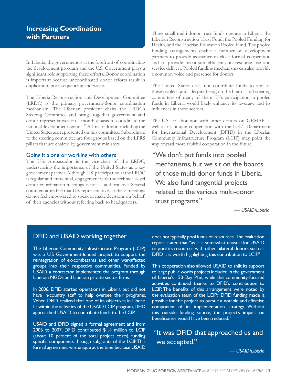In Liberia, the government is at the forefront of coordinating the development program and the U.S. Government plays a significant role supporting these efforts. Donor coordination is important because uncoordinated donor efforts result in duplication, poor sequencing and waste.

The Liberia Reconstruction and Development Committee (LRDC) is the primary government-donor coordination mechanism. The Liberian president chairs the LRDC's Steering Committee and brings together government and donor representatives on a monthly basis to coordinate the national development agenda.23 All major donors including the United States are represented on this committee. Subordinate to the steering committee are four groups based on the LPRS pillars that are chaired by government ministers.

#### Going it alone or working with others

The U.S. Ambassador is the vice-chair of the LRDC, underscoring the importance of the United States as a key government partner. Although U.S. participation at the LRDC is regular and influential, engagement with the technical-level donor coordination meetings is not as authoritative. Several commentators feel that U.S. representatives at these meetings do not feel empowered to speak or make decisions on behalf of their agencies without referring back to headquarters.

**with Partners** Three small multi-donor trust funds operate in Liberia: the value of the Partners Three Second Trust Funds the Pooled Funding for Liberian Reconstruction Trust Fund, the Pooled Funding for Health, and the Liberian Education Pooled Fund. The pooled funding arrangements enable a number of development partners to provide assistance in close formal cooperation and to provide maximum efficiency in resource use and service delivery. Pooled funding mechanisms can also provide a common voice and presence for donors.

> The United States does not contribute funds to any of these pooled funds despite being on the boards and steering committees of many of them. U.S. participation in pooled funds in Liberia would likely enhance its leverage and its influences in these sectors.

> The U.S. collaboration with other donors on GEMAP as well as its unique cooperation with the U.K.'s Department for International Development (DFID) in the Liberian Community Infrastructure Program (LCIP) may point the way toward more fruitful cooperation in the future.

"We don't put funds into pooled mechanisms, but we sit on the boards of those multi-donor funds in Liberia. We also fund tangential projects related to the various multi-donor trust programs."

*— USAID/Liberia*

## DFID and USAID working together

The Liberian Community Infrastructure Program (LCIP) was a U.S Government-funded project to support the reintegration of ex-combatants and other war-affected groups into their respective communities. Funded by USAID, a contractor implemented the program through Liberian NGOs and Liberian private sector firms.

In 2006, DFID started operations in Liberia but did not have in-country staff to help oversee their programs. When DFID realized that one of its objectives in Liberia fit within the activities of the USAID LCIP program, DFID approached USAID to contribute funds to the LCIP.

USAID and DFID signed a formal agreement and from 2006 to 2007, DFID contributed \$1.4 million to LCIP (about 10 percent of the total project costs), funding specific components through subgrants of the LCIP. This formal agreement was unique at the time because USAID

does not typically pool funds or resources. The evaluation report stated that "as it is somewhat unusual for USAID to pool its resources with other bilateral donors such as DFID, it is worth highlighting this contribution to LCIP."

This cooperation also allowed USAID to shift its support to large public works projects included in the government of Liberia's 150-Day Plan, while the community-focused activities continued thanks to DFID's contribution to LCIP. The benefits of this arrangement were noted by the evaluation team of the LCIP: "DFID funding made it possible for the project to pursue a notable and effective component of its implementation strategy. Without this outside funding source, the project's impact on beneficiaries would have been reduced."

"It was DFID that approached us and we accepted."

*— USAID/Liberia*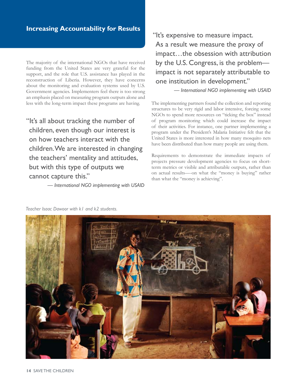## **Increasing Accountability for Results**

The majority of the international NGOs that have received funding from the United States are very grateful for the support, and the role that U.S. assistance has played in the reconstruction of Liberia. However, they have concerns about the monitoring and evaluation systems used by U.S. Government agencies. Implementers feel there is too strong an emphasis placed on measuring program outputs alone and less with the long-term impact these programs are having.

"It's all about tracking the number of children, even though our interest is on how teachers interact with the children. We are interested in changing the teachers' mentality and attitudes, but with this type of outputs we cannot capture this."

*— International NGO implementing with USAID* 

"It's expensive to measure impact. As a result we measure the proxy of impact…the obsession with attribution by the U.S. Congress, is the problem impact is not separately attributable to one institution in development."

*— International NGO implementing with USAID* 

The implementing partners found the collection and reporting structures to be very rigid and labor intensive, forcing some NGOs to spend more resources on "ticking the box" instead of program monitoring which could increase the impact of their activities. For instance, one partner implementing a program under the President's Malaria Initiative felt that the United States is more interested in how many mosquito nets have been distributed than how many people are using them.

Requirements to demonstrate the immediate impacts of projects pressure development agencies to focus on shortterm metrics or visible and attributable outputs, rather than on actual results—-on what the "money is buying" rather than what the "money is achieving".



*Teacher Isaac Dawoor with k1 and k2 students.*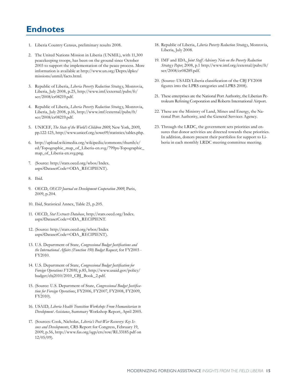## **Endnotes**

- 1. Liberia Country Census, preliminary results 2008.
- 2. The United Nations Mission in Liberia (UNMIL), with 11,300 peacekeeping troops, has been on the ground since October 2003 to support the implementation of the peace process. More information is available at http://www.un.org/Depts/dpko/ missions/unmil/facts.html.
- 3. Republic of Liberia, *Liberia Poverty Reduction Strateg y*, Monrovia, Liberia, July 2008, p.25, http://www.imf/external/pubs/ft/ scr/2008/cr08219.pdf.
- 4. Republic of Liberia, *Liberia Poverty Reduction Strateg y*, Monrovia, Liberia, July 2008, p.16, http://www.imf/external/pubs/ft/ scr/2008/cr08219.pdf.
- 5. UNICEF, *The State of the World's Children 2009*, New York, 2009, pp.122-125, http://www.unicef.org/sowc09/statistics/tables.php.
- 6. http://upload.wikimedia.org/wikipedia/commons/thumb/e/ ed/Topographic\_map\_of\_Liberia-en.svg/799px-Topographic\_ map\_of\_Liberia-en.svg.png.
- 7. (Source: http://stats.oecd.org/wbos/Index. aspx?DatasetCode=ODA\_RECIPIENT).
- 8. Ibid.
- 9. OECD, *OECD Journal on Development Cooperation 2009*, Paris, 2009, p.204.
- 10. Ibid, Statistical Annex, Table 25, p.205.
- 11. OECD, *Stat Extracts Database*, http://stats.oecd.org/Index. aspx?DatasetCode=ODA\_RECIPIENT.
- 12. (Source: http://stats.oecd.org/wbos/Index aspx?DatasetCode=ODA\_RECIPIENT).
- 13. U.S. Department of State, *Congressional Budget Justifications and the International Affairs (Function 150) Budget Request*, for FY2003 - FY2010.
- 14. U.S. Department of State, *Congressional Budget Justification for Foreign Operations FY2010*, p.85, http://www.usaid.gov/policy/ budget/cbj2010/2010\_CBJ\_Book\_2.pdf.
- 15. (Source: U.S. Department of State, *Congressional Budget Justification for Foreign Operations*, FY2006, FY2007, FY2008, FY2009, FY2010).
- 16. USAID, *Liberia Health Transition Workshop: From Humanitarian to Development Assistance*, Summary Workshop Report, April 2005.
- 17. (Sources: Cook, Nicholas, *Liberia's Post-War Recovery: Key Issues and Developments*, CRS Report for Congress, February 19, 2009, p.56, http://www.fas.org/sgp/crs/row/RL33185.pdf on  $12/05/09$ ).
- 18. Republic of Liberia, *Liberia Poverty Reduction Strateg y*, Monrovia, Liberia, July 2008.
- 19. IMF and IDA, *Joint Staff Advisory Note on the Poverty Reduction Strateg y Paper*, 2008, p.1 http://www.imf.org/external/pubs/ft/ scr/2008/cr08289.pdf.
- 20. (Source: USAID/Liberia classification of the CBJ FY2008 figures into the LPRS categories and LPRS 2008).
- 21. These enterprises are the National Port Authority, the Liberian Petroleum Refining Corporation and Roberts International Airport.
- 22. These are the Ministry of Land, Mines and Energy, the National Port Authority, and the General Services Agency.
- 23. Through the LRDC, the government sets priorities and ensures that donor activities are directed towards these priorities. In addition, donors present their portfolios for support to Liberia in each monthly LRDC steering committee meeting.